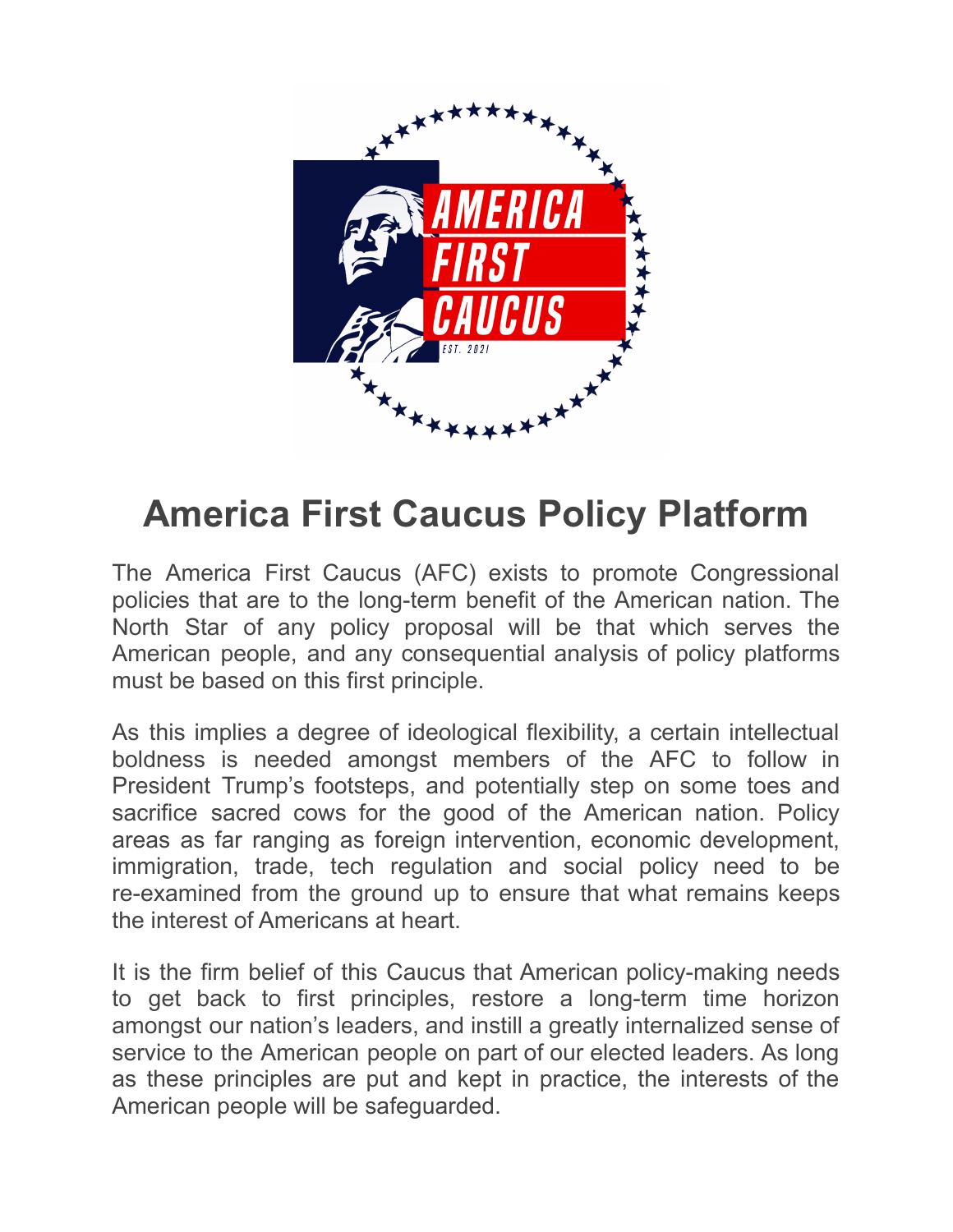

# **America First Caucus Policy Platform**

The America First Caucus (AFC) exists to promote Congressional policies that are to the long-term benefit of the American nation. The North Star of any policy proposal will be that which serves the American people, and any consequential analysis of policy platforms must be based on this first principle.

As this implies a degree of ideological flexibility, a certain intellectual boldness is needed amongst members of the AFC to follow in President Trump's footsteps, and potentially step on some toes and sacrifice sacred cows for the good of the American nation. Policy areas as far ranging as foreign intervention, economic development, immigration, trade, tech regulation and social policy need to be re-examined from the ground up to ensure that what remains keeps the interest of Americans at heart.

It is the firm belief of this Caucus that American policy-making needs to get back to first principles, restore a long-term time horizon amongst our nation's leaders, and instill a greatly internalized sense of service to the American people on part of our elected leaders. As long as these principles are put and kept in practice, the interests of the American people will be safeguarded.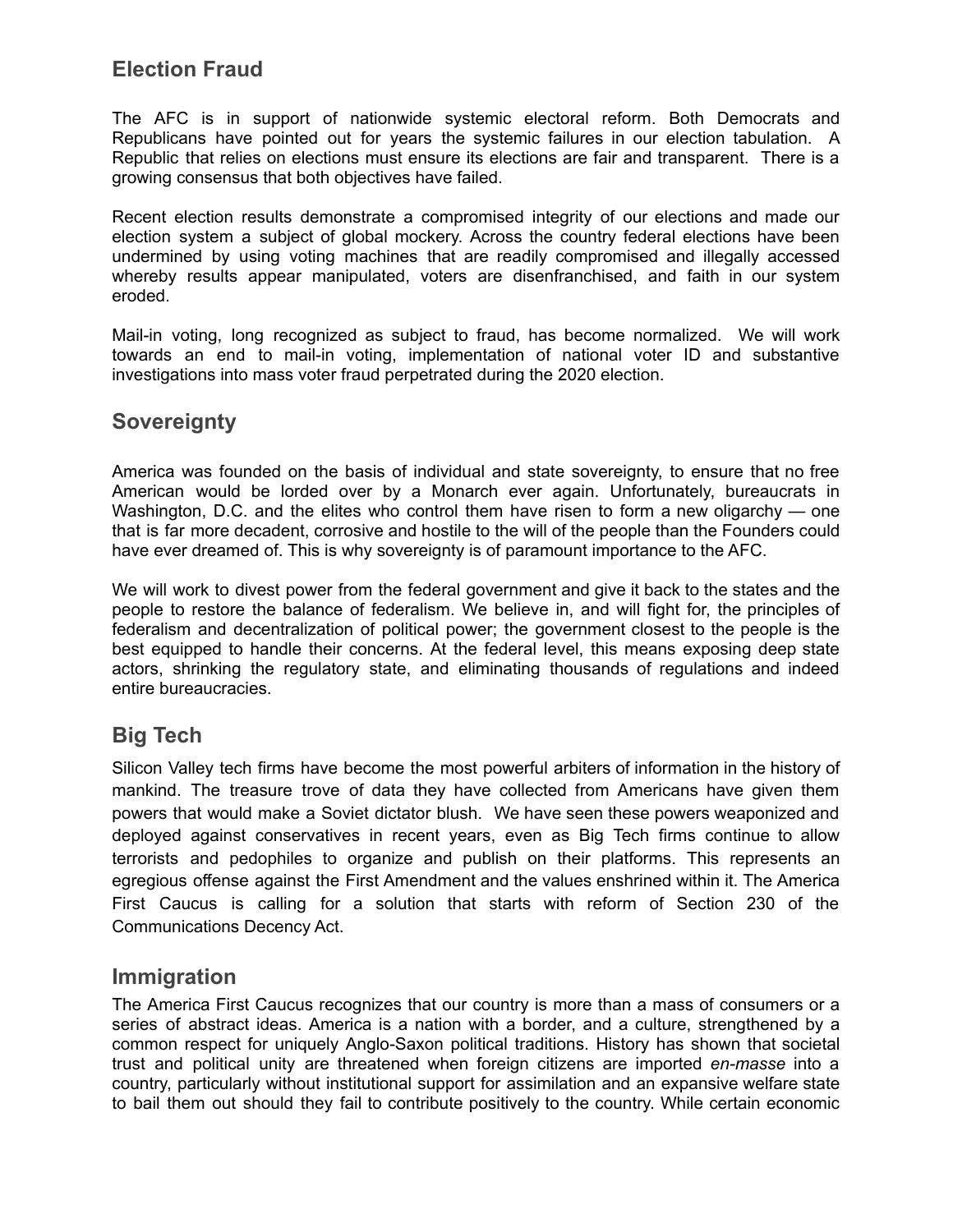# **Election Fraud**

The AFC is in support of nationwide systemic electoral reform. Both Democrats and Republicans have pointed out for years the systemic failures in our election tabulation. A Republic that relies on elections must ensure its elections are fair and transparent. There is a growing consensus that both objectives have failed.

Recent election results demonstrate a compromised integrity of our elections and made our election system a subject of global mockery. Across the country federal elections have been undermined by using voting machines that are readily compromised and illegally accessed whereby results appear manipulated, voters are disenfranchised, and faith in our system eroded.

Mail-in voting, long recognized as subject to fraud, has become normalized. We will work towards an end to mail-in voting, implementation of national voter ID and substantive investigations into mass voter fraud perpetrated during the 2020 election.

#### **Sovereignty**

America was founded on the basis of individual and state sovereignty, to ensure that no free American would be lorded over by a Monarch ever again. Unfortunately, bureaucrats in Washington, D.C. and the elites who control them have risen to form a new oligarchy — one that is far more decadent, corrosive and hostile to the will of the people than the Founders could have ever dreamed of. This is why sovereignty is of paramount importance to the AFC.

We will work to divest power from the federal government and give it back to the states and the people to restore the balance of federalism. We believe in, and will fight for, the principles of federalism and decentralization of political power; the government closest to the people is the best equipped to handle their concerns. At the federal level, this means exposing deep state actors, shrinking the regulatory state, and eliminating thousands of regulations and indeed entire bureaucracies.

# **Big Tech**

Silicon Valley tech firms have become the most powerful arbiters of information in the history of mankind. The treasure trove of data they have collected from Americans have given them powers that would make a Soviet dictator blush. We have seen these powers weaponized and deployed against conservatives in recent years, even as Big Tech firms continue to allow terrorists and pedophiles to organize and publish on their platforms. This represents an egregious offense against the First Amendment and the values enshrined within it. The America First Caucus is calling for a solution that starts with reform of Section 230 of the Communications Decency Act.

#### **Immigration**

The America First Caucus recognizes that our country is more than a mass of consumers or a series of abstract ideas. America is a nation with a border, and a culture, strengthened by a common respect for uniquely Anglo-Saxon political traditions. History has shown that societal trust and political unity are threatened when foreign citizens are imported *en-masse* into a country, particularly without institutional support for assimilation and an expansive welfare state to bail them out should they fail to contribute positively to the country. While certain economic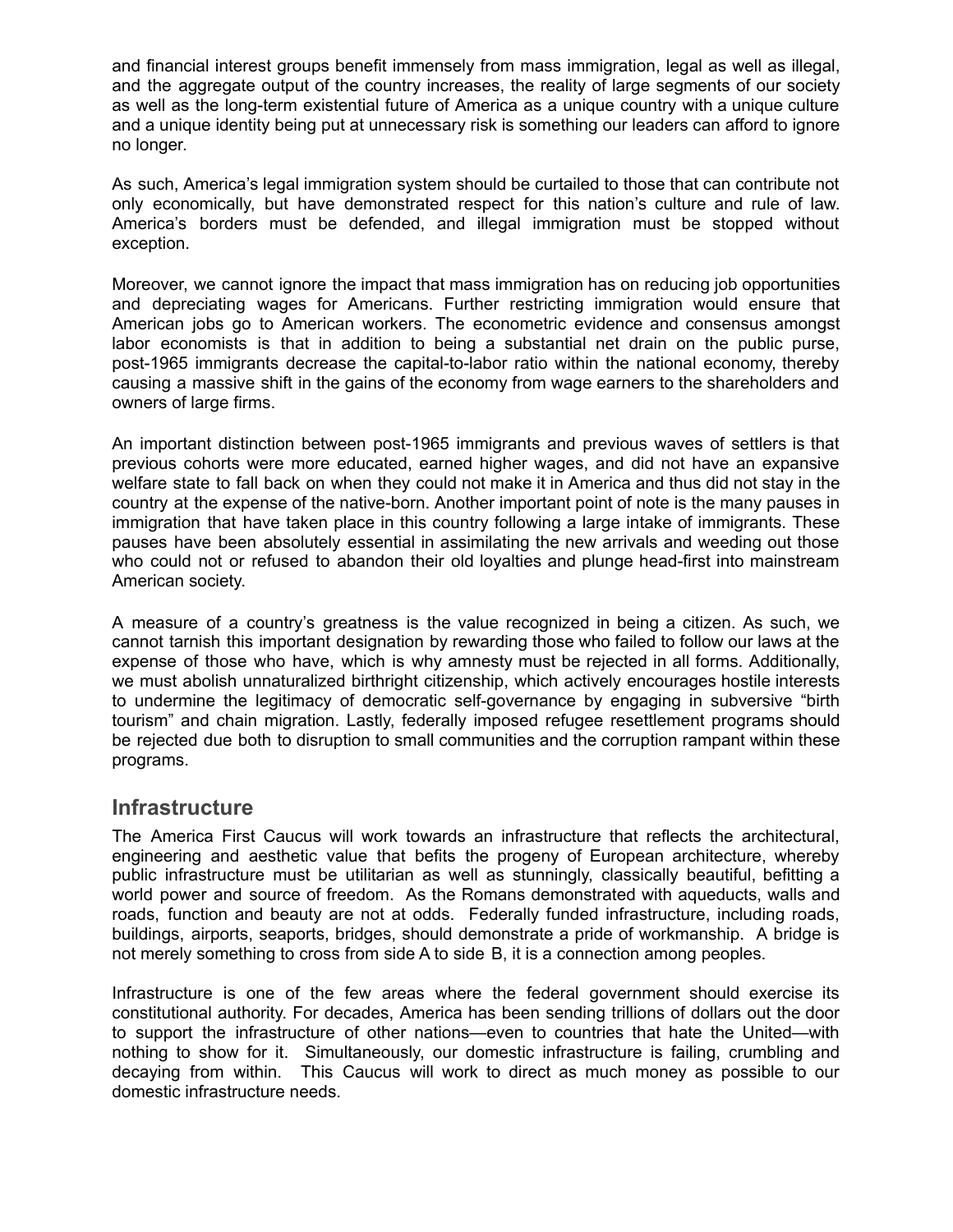and financial interest groups benefit immensely from mass immigration, legal as well as illegal, and the aggregate output of the country increases, the reality of large segments of our society as well as the long-term existential future of America as a unique country with a unique culture and a unique identity being put at unnecessary risk is something our leaders can afford to ignore no longer.

As such, America's legal immigration system should be curtailed to those that can contribute not only economically, but have demonstrated respect for this nation's culture and rule of law. America's borders must be defended, and illegal immigration must be stopped without exception.

Moreover, we cannot ignore the impact that mass immigration has on reducing job opportunities and depreciating wages for Americans. Further restricting immigration would ensure that American jobs go to American workers. The econometric evidence and consensus amongst labor economists is that in addition to being a substantial net drain on the public purse, post-1965 immigrants decrease the capital-to-labor ratio within the national economy, thereby causing a massive shift in the gains of the economy from wage earners to the shareholders and owners of large firms.

An important distinction between post-1965 immigrants and previous waves of settlers is that previous cohorts were more educated, earned higher wages, and did not have an expansive welfare state to fall back on when they could not make it in America and thus did not stay in the country at the expense of the native-born. Another important point of note is the many pauses in immigration that have taken place in this country following a large intake of immigrants. These pauses have been absolutely essential in assimilating the new arrivals and weeding out those who could not or refused to abandon their old loyalties and plunge head-first into mainstream American society.

A measure of a country's greatness is the value recognized in being a citizen. As such, we cannot tarnish this important designation by rewarding those who failed to follow our laws at the expense of those who have, which is why amnesty must be rejected in all forms. Additionally, we must abolish unnaturalized birthright citizenship, which actively encourages hostile interests to undermine the legitimacy of democratic self-governance by engaging in subversive "birth tourism" and chain migration. Lastly, federally imposed refugee resettlement programs should be rejected due both to disruption to small communities and the corruption rampant within these programs.

#### **Infrastructure**

The America First Caucus will work towards an infrastructure that reflects the architectural, engineering and aesthetic value that befits the progeny of European architecture, whereby public infrastructure must be utilitarian as well as stunningly, classically beautiful, befitting a world power and source of freedom. As the Romans demonstrated with aqueducts, walls and roads, function and beauty are not at odds. Federally funded infrastructure, including roads, buildings, airports, seaports, bridges, should demonstrate a pride of workmanship. A bridge is not merely something to cross from side A to side B, it is a connection among peoples.

Infrastructure is one of the few areas where the federal government should exercise its constitutional authority. For decades, America has been sending trillions of dollars out the door to support the infrastructure of other nations—even to countries that hate the United—with nothing to show for it. Simultaneously, our domestic infrastructure is failing, crumbling and decaying from within. This Caucus will work to direct as much money as possible to our domestic infrastructure needs.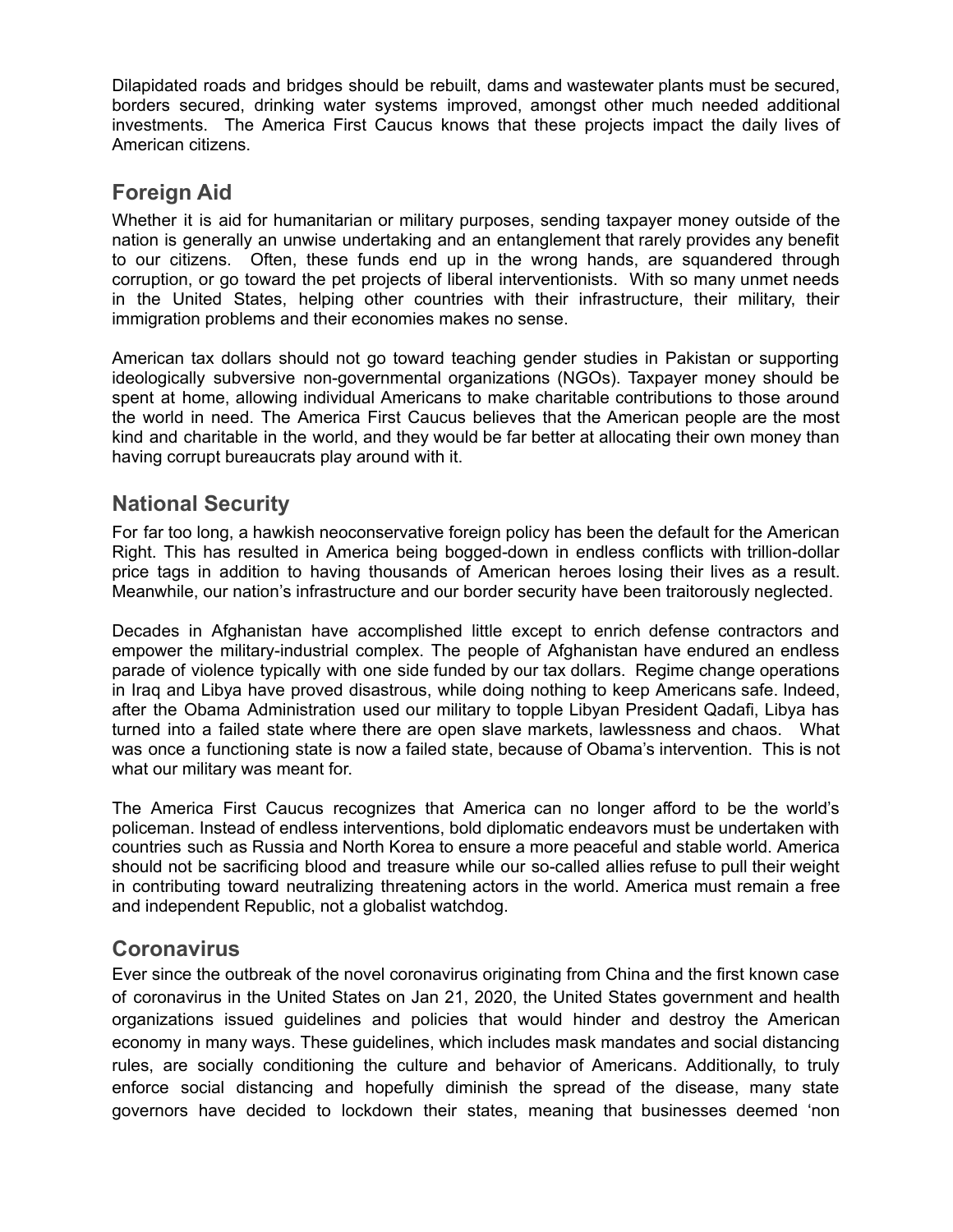Dilapidated roads and bridges should be rebuilt, dams and wastewater plants must be secured, borders secured, drinking water systems improved, amongst other much needed additional investments. The America First Caucus knows that these projects impact the daily lives of American citizens.

# **Foreign Aid**

Whether it is aid for humanitarian or military purposes, sending taxpayer money outside of the nation is generally an unwise undertaking and an entanglement that rarely provides any benefit to our citizens. Often, these funds end up in the wrong hands, are squandered through corruption, or go toward the pet projects of liberal interventionists. With so many unmet needs in the United States, helping other countries with their infrastructure, their military, their immigration problems and their economies makes no sense.

American tax dollars should not go toward teaching gender studies in Pakistan or supporting ideologically subversive non-governmental organizations (NGOs). Taxpayer money should be spent at home, allowing individual Americans to make charitable contributions to those around the world in need. The America First Caucus believes that the American people are the most kind and charitable in the world, and they would be far better at allocating their own money than having corrupt bureaucrats play around with it.

# **National Security**

For far too long, a hawkish neoconservative foreign policy has been the default for the American Right. This has resulted in America being bogged-down in endless conflicts with trillion-dollar price tags in addition to having thousands of American heroes losing their lives as a result. Meanwhile, our nation's infrastructure and our border security have been traitorously neglected.

Decades in Afghanistan have accomplished little except to enrich defense contractors and empower the military-industrial complex. The people of Afghanistan have endured an endless parade of violence typically with one side funded by our tax dollars. Regime change operations in Iraq and Libya have proved disastrous, while doing nothing to keep Americans safe. Indeed, after the Obama Administration used our military to topple Libyan President Qadafi, Libya has turned into a failed state where there are open slave markets, lawlessness and chaos. What was once a functioning state is now a failed state, because of Obama's intervention. This is not what our military was meant for.

The America First Caucus recognizes that America can no longer afford to be the world's policeman. Instead of endless interventions, bold diplomatic endeavors must be undertaken with countries such as Russia and North Korea to ensure a more peaceful and stable world. America should not be sacrificing blood and treasure while our so-called allies refuse to pull their weight in contributing toward neutralizing threatening actors in the world. America must remain a free and independent Republic, not a globalist watchdog.

# **Coronavirus**

Ever since the outbreak of the novel coronavirus originating from China and the first known case of coronavirus in the United States on Jan 21, 2020, the United States government and health organizations issued guidelines and policies that would hinder and destroy the American economy in many ways. These guidelines, which includes mask mandates and social distancing rules, are socially conditioning the culture and behavior of Americans. Additionally, to truly enforce social distancing and hopefully diminish the spread of the disease, many state governors have decided to lockdown their states, meaning that businesses deemed 'non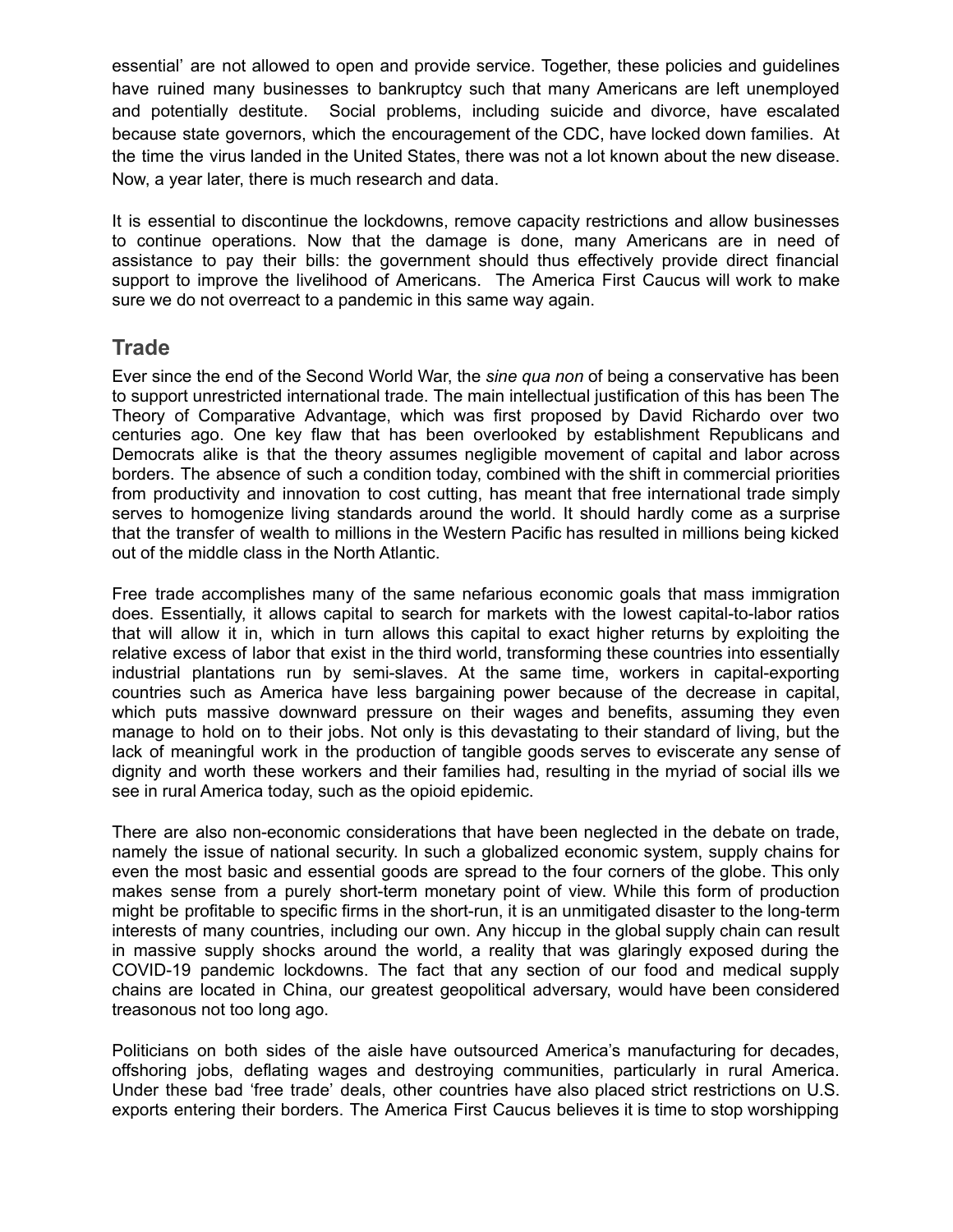essential' are not allowed to open and provide service. Together, these policies and guidelines have ruined many businesses to bankruptcy such that many Americans are left unemployed and potentially destitute. Social problems, including suicide and divorce, have escalated because state governors, which the encouragement of the CDC, have locked down families. At the time the virus landed in the United States, there was not a lot known about the new disease. Now, a year later, there is much research and data.

It is essential to discontinue the lockdowns, remove capacity restrictions and allow businesses to continue operations. Now that the damage is done, many Americans are in need of assistance to pay their bills: the government should thus effectively provide direct financial support to improve the livelihood of Americans. The America First Caucus will work to make sure we do not overreact to a pandemic in this same way again.

#### **Trade**

Ever since the end of the Second World War, the *sine qua non* of being a conservative has been to support unrestricted international trade. The main intellectual justification of this has been The Theory of Comparative Advantage, which was first proposed by David Richardo over two centuries ago. One key flaw that has been overlooked by establishment Republicans and Democrats alike is that the theory assumes negligible movement of capital and labor across borders. The absence of such a condition today, combined with the shift in commercial priorities from productivity and innovation to cost cutting, has meant that free international trade simply serves to homogenize living standards around the world. It should hardly come as a surprise that the transfer of wealth to millions in the Western Pacific has resulted in millions being kicked out of the middle class in the North Atlantic.

Free trade accomplishes many of the same nefarious economic goals that mass immigration does. Essentially, it allows capital to search for markets with the lowest capital-to-labor ratios that will allow it in, which in turn allows this capital to exact higher returns by exploiting the relative excess of labor that exist in the third world, transforming these countries into essentially industrial plantations run by semi-slaves. At the same time, workers in capital-exporting countries such as America have less bargaining power because of the decrease in capital, which puts massive downward pressure on their wages and benefits, assuming they even manage to hold on to their jobs. Not only is this devastating to their standard of living, but the lack of meaningful work in the production of tangible goods serves to eviscerate any sense of dignity and worth these workers and their families had, resulting in the myriad of social ills we see in rural America today, such as the opioid epidemic.

There are also non-economic considerations that have been neglected in the debate on trade, namely the issue of national security. In such a globalized economic system, supply chains for even the most basic and essential goods are spread to the four corners of the globe. This only makes sense from a purely short-term monetary point of view. While this form of production might be profitable to specific firms in the short-run, it is an unmitigated disaster to the long-term interests of many countries, including our own. Any hiccup in the global supply chain can result in massive supply shocks around the world, a reality that was glaringly exposed during the COVID-19 pandemic lockdowns. The fact that any section of our food and medical supply chains are located in China, our greatest geopolitical adversary, would have been considered treasonous not too long ago.

Politicians on both sides of the aisle have outsourced America's manufacturing for decades, offshoring jobs, deflating wages and destroying communities, particularly in rural America. Under these bad 'free trade' deals, other countries have also placed strict restrictions on U.S. exports entering their borders. The America First Caucus believes it is time to stop worshipping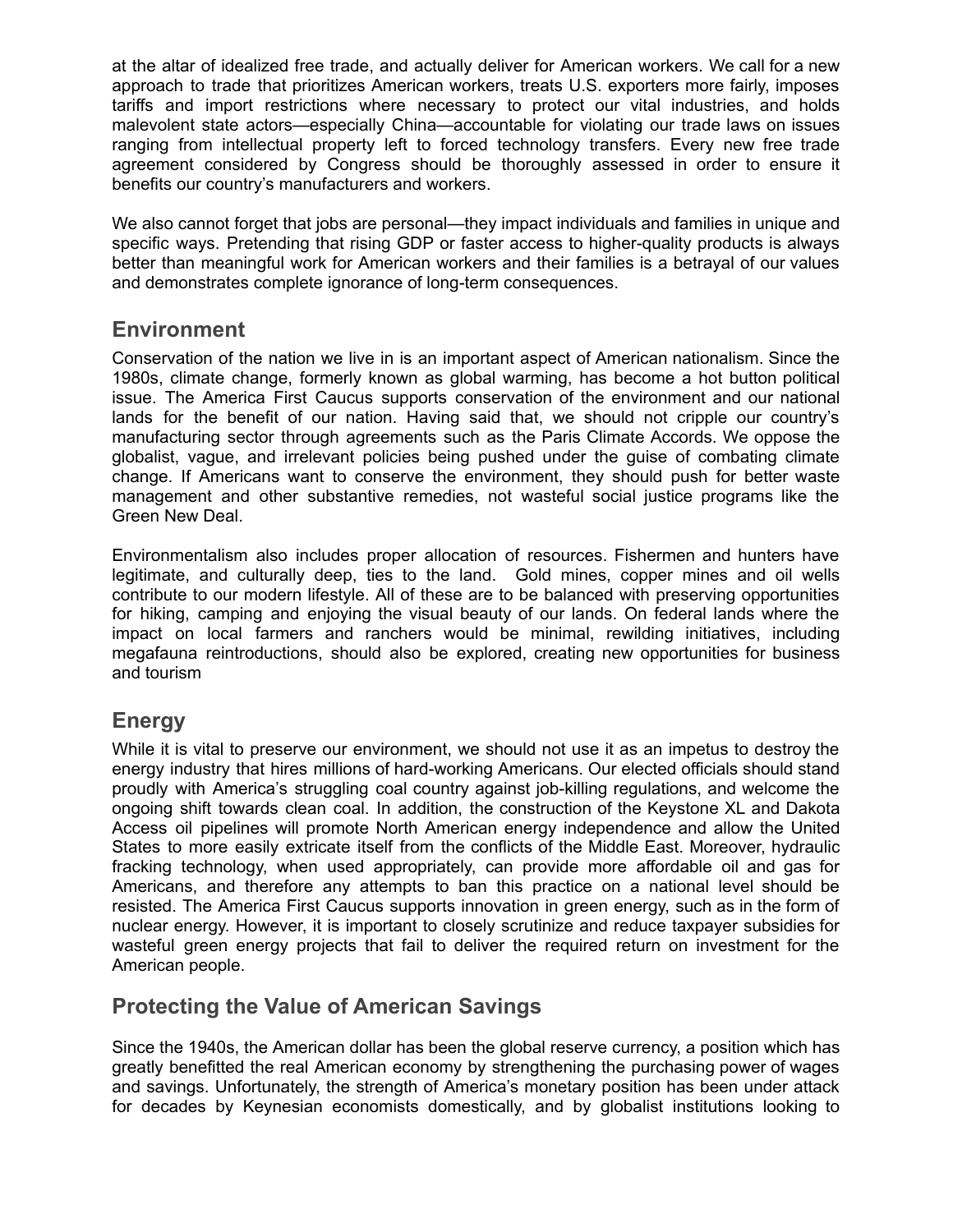at the altar of idealized free trade, and actually deliver for American workers. We call for a new approach to trade that prioritizes American workers, treats U.S. exporters more fairly, imposes tariffs and import restrictions where necessary to protect our vital industries, and holds malevolent state actors—especially China—accountable for violating our trade laws on issues ranging from intellectual property left to forced technology transfers. Every new free trade agreement considered by Congress should be thoroughly assessed in order to ensure it benefits our country's manufacturers and workers.

We also cannot forget that jobs are personal—they impact individuals and families in unique and specific ways. Pretending that rising GDP or faster access to higher-quality products is always better than meaningful work for American workers and their families is a betrayal of our values and demonstrates complete ignorance of long-term consequences.

#### **Environment**

Conservation of the nation we live in is an important aspect of American nationalism. Since the 1980s, climate change, formerly known as global warming, has become a hot button political issue. The America First Caucus supports conservation of the environment and our national lands for the benefit of our nation. Having said that, we should not cripple our country's manufacturing sector through agreements such as the Paris Climate Accords. We oppose the globalist, vague, and irrelevant policies being pushed under the guise of combating climate change. If Americans want to conserve the environment, they should push for better waste management and other substantive remedies, not wasteful social justice programs like the Green New Deal.

Environmentalism also includes proper allocation of resources. Fishermen and hunters have legitimate, and culturally deep, ties to the land. Gold mines, copper mines and oil wells contribute to our modern lifestyle. All of these are to be balanced with preserving opportunities for hiking, camping and enjoying the visual beauty of our lands. On federal lands where the impact on local farmers and ranchers would be minimal, rewilding initiatives, including megafauna reintroductions, should also be explored, creating new opportunities for business and tourism

# **Energy**

While it is vital to preserve our environment, we should not use it as an impetus to destroy the energy industry that hires millions of hard-working Americans. Our elected officials should stand proudly with America's struggling coal country against job-killing regulations, and welcome the ongoing shift towards clean coal. In addition, the construction of the Keystone XL and Dakota Access oil pipelines will promote North American energy independence and allow the United States to more easily extricate itself from the conflicts of the Middle East. Moreover, hydraulic fracking technology, when used appropriately, can provide more affordable oil and gas for Americans, and therefore any attempts to ban this practice on a national level should be resisted. The America First Caucus supports innovation in green energy, such as in the form of nuclear energy. However, it is important to closely scrutinize and reduce taxpayer subsidies for wasteful green energy projects that fail to deliver the required return on investment for the American people.

# **Protecting the Value of American Savings**

Since the 1940s, the American dollar has been the global reserve currency, a position which has greatly benefitted the real American economy by strengthening the purchasing power of wages and savings. Unfortunately, the strength of America's monetary position has been under attack for decades by Keynesian economists domestically, and by globalist institutions looking to